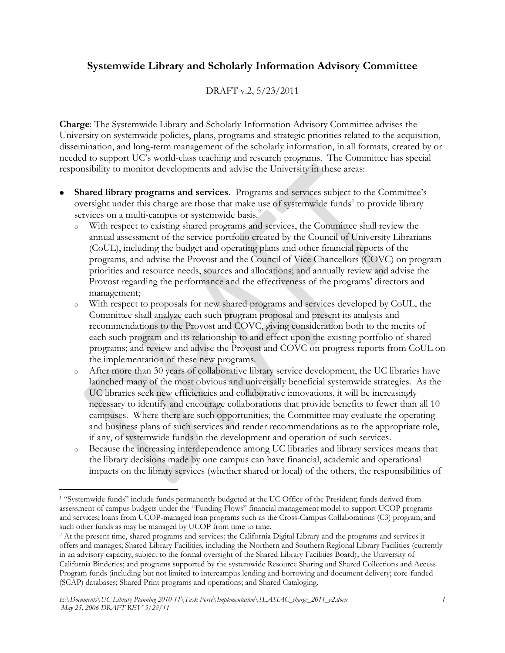## **Systemwide Library and Scholarly Information Advisory Committee**

## DRAFT v.2, 5/23/2011

**Charge**: The Systemwide Library and Scholarly Information Advisory Committee advises the University on systemwide policies, plans, programs and strategic priorities related to the acquisition, dissemination, and long-term management of the scholarly information, in all formats, created by or needed to support UC's world-class teaching and research programs. The Committee has special responsibility to monitor developments and advise the University in these areas:

- **Shared library programs and services**. Programs and services subject to the Committee's oversight under this charge are those that make use of systemwide funds<sup>1</sup> to provide library services on a multi-campus or systemwide basis.<sup>2</sup>
	- <sup>o</sup> With respect to existing shared programs and services, the Committee shall review the annual assessment of the service portfolio created by the Council of University Librarians (CoUL), including the budget and operating plans and other financial reports of the programs, and advise the Provost and the Council of Vice Chancellors (COVC) on program priorities and resource needs, sources and allocations; and annually review and advise the Provost regarding the performance and the effectiveness of the programs' directors and management;
	- <sup>o</sup> With respect to proposals for new shared programs and services developed by CoUL, the Committee shall analyze each such program proposal and present its analysis and recommendations to the Provost and COVC, giving consideration both to the merits of each such program and its relationship to and effect upon the existing portfolio of shared programs; and review and advise the Provost and COVC on progress reports from CoUL on the implementation of these new programs.
	- <sup>o</sup> After more than 30 years of collaborative library service development, the UC libraries have launched many of the most obvious and universally beneficial systemwide strategies. As the UC libraries seek new efficiencies and collaborative innovations, it will be increasingly necessary to identify and encourage collaborations that provide benefits to fewer than all 10 campuses. Where there are such opportunities, the Committee may evaluate the operating and business plans of such services and render recommendations as to the appropriate role, if any, of systemwide funds in the development and operation of such services.
	- <sup>o</sup> Because the increasing interdependence among UC libraries and library services means that the library decisions made by one campus can have financial, academic and operational impacts on the library services (whether shared or local) of the others, the responsibilities of

 $\overline{a}$ 

<sup>1</sup> "Systemwide funds" include funds permanently budgeted at the UC Office of the President; funds derived from assessment of campus budgets under the "Funding Flows" financial management model to support UCOP programs and services; loans from UCOP-managed loan programs such as the Cross-Campus Collaborations (C3) program; and such other funds as may be managed by UCOP from time to time.

<sup>&</sup>lt;sup>2</sup> At the present time, shared programs and services: the California Digital Library and the programs and services it offers and manages; Shared Library Facilities, including the Northern and Southern Regional Library Facilities (currently in an advisory capacity, subject to the formal oversight of the Shared Library Facilities Board); the University of California Binderies; and programs supported by the systemwide Resource Sharing and Shared Collections and Access Program funds (including but not limited to intercampus lending and borrowing and document delivery; core-funded (SCAP) databases; Shared Print programs and operations; and Shared Cataloging.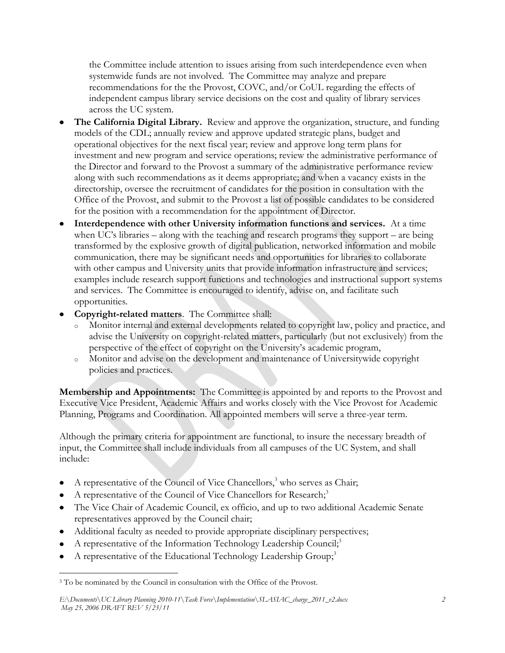the Committee include attention to issues arising from such interdependence even when systemwide funds are not involved. The Committee may analyze and prepare recommendations for the the Provost, COVC, and/or CoUL regarding the effects of independent campus library service decisions on the cost and quality of library services across the UC system.

- **The California Digital Library.** Review and approve the organization, structure, and funding models of the CDL; annually review and approve updated strategic plans, budget and operational objectives for the next fiscal year; review and approve long term plans for investment and new program and service operations; review the administrative performance of the Director and forward to the Provost a summary of the administrative performance review along with such recommendations as it deems appropriate; and when a vacancy exists in the directorship, oversee the recruitment of candidates for the position in consultation with the Office of the Provost, and submit to the Provost a list of possible candidates to be considered for the position with a recommendation for the appointment of Director.
- **Interdependence with other University information functions and services.** At a time when UC's libraries – along with the teaching and research programs they support – are being transformed by the explosive growth of digital publication, networked information and mobile communication, there may be significant needs and opportunities for libraries to collaborate with other campus and University units that provide information infrastructure and services; examples include research support functions and technologies and instructional support systems and services. The Committee is encouraged to identify, advise on, and facilitate such opportunities.
- **Copyright-related matters**. The Committee shall:
	- <sup>o</sup> Monitor internal and external developments related to copyright law, policy and practice, and advise the University on copyright-related matters, particularly (but not exclusively) from the perspective of the effect of copyright on the University's academic program,
	- <sup>o</sup> Monitor and advise on the development and maintenance of Universitywide copyright policies and practices.

**Membership and Appointments:** The Committee is appointed by and reports to the Provost and Executive Vice President, Academic Affairs and works closely with the Vice Provost for Academic Planning, Programs and Coordination. All appointed members will serve a three-year term.

Although the primary criteria for appointment are functional, to insure the necessary breadth of input, the Committee shall include individuals from all campuses of the UC System, and shall include:

- A representative of the Council of Vice Chancellors,<sup>3</sup> who serves as Chair;
- A representative of the Council of Vice Chancellors for Research;<sup>3</sup>
- The Vice Chair of Academic Council, ex officio, and up to two additional Academic Senate representatives approved by the Council chair;
- Additional faculty as needed to provide appropriate disciplinary perspectives;
- A representative of the Information Technology Leadership Council;<sup>3</sup>
- A representative of the Educational Technology Leadership Group;<sup>3</sup>

 $\overline{a}$ <sup>3</sup> To be nominated by the Council in consultation with the Office of the Provost.